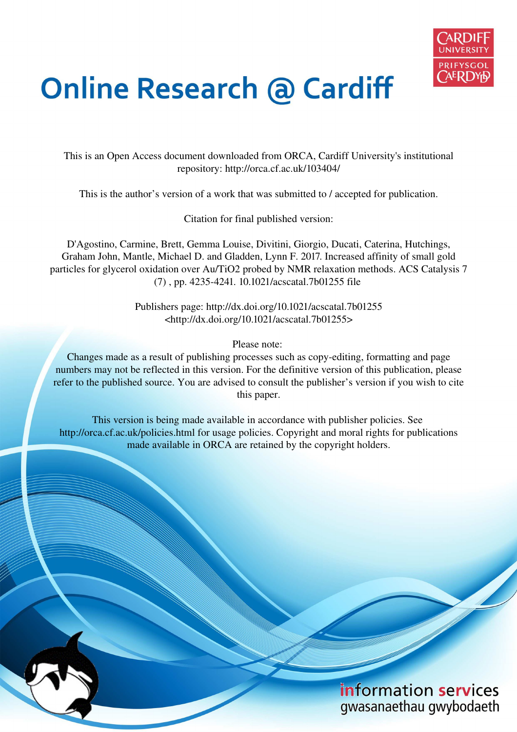

# **Online Research @ Cardiff**

This is an Open Access document downloaded from ORCA, Cardiff University's institutional repository: http://orca.cf.ac.uk/103404/

This is the author's version of a work that was submitted to / accepted for publication.

Citation for final published version:

D'Agostino, Carmine, Brett, Gemma Louise, Divitini, Giorgio, Ducati, Caterina, Hutchings, Graham John, Mantle, Michael D. and Gladden, Lynn F. 2017. Increased affinity of small gold particles for glycerol oxidation over Au/TiO2 probed by NMR relaxation methods. ACS Catalysis 7 (7) , pp. 4235-4241. 10.1021/acscatal.7b01255 file

> Publishers page: http://dx.doi.org/10.1021/acscatal.7b01255 <http://dx.doi.org/10.1021/acscatal.7b01255>

> > Please note:

Changes made as a result of publishing processes such as copy-editing, formatting and page numbers may not be reflected in this version. For the definitive version of this publication, please refer to the published source. You are advised to consult the publisher's version if you wish to cite this paper.

This version is being made available in accordance with publisher policies. See http://orca.cf.ac.uk/policies.html for usage policies. Copyright and moral rights for publications made available in ORCA are retained by the copyright holders.

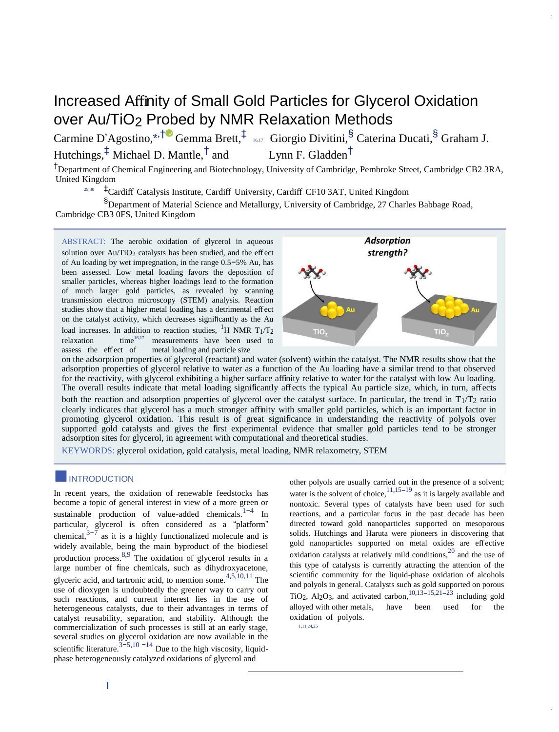## Increased Affinity of Small Gold Particles for Glycerol Oxidation over Au/TiO<sub>2</sub> Probed by NMR Relaxation Methods

Carmine D'Agostino,[\\*](#page-6-0)<sup>\*,[†](#page-6-0)®</sup> Gemma Brett,<sup>[‡](#page-6-0)</sup> [16,17](#page-6-0) Giorgio Divitini,<sup>§</sup> Caterina Ducati,<sup>§</sup> Graham J. Hutchings,[‡](#page-6-0) Michael D. Mantle,† Lynn F. Gladden $^{\dagger}$ 

†Department of Chemical Engineering and Biotechnology, University of Cambridge, Pembroke Street, Cambridge CB2 3RA, United Kingdom [29,30](#page-6-0) 

‡Cardiff Catalysis Institute, Cardiff University, Cardiff CF10 3AT, United Kingdom

§Department of Material Science and Metallurgy, University of Cambridge, 27 Charles Babbage Road, Cambridge CB3 0FS, United Kingdom

ABSTRACT: The aerobic oxidation of glycerol in aqueous solution over Au/TiO<sub>2</sub> catalysts has been studied, and the effect of Au loading by wet impregnation, in the range 0.5−5% Au, has been assessed. Low metal loading favors the deposition of smaller particles, whereas higher loadings lead to the formation of much larger gold particles, as revealed by scanning transmission electron microscopy (STEM) analysis. Reaction studies show that a higher metal loading has a detrimental effect on the catalyst activity, which decreases significantly as the Au load increases. In addition to reaction studies, <sup>1</sup>H NMR T<sub>1</sub>/T<sub>2</sub> relaxation time<sup>16,17</sup> measurements have been used to relaxation  $time^{16,17}$  measurements hav[e](#page-6-0) been used to assess the effect of metal loading and particle size



on the adsorption properties of glycerol (reactant) and water (solvent) within the catalyst. The NMR results show that the adsorption properties of glycerol relative to water as a function of the Au loading have a similar trend to that observed for the reactivity, with glycerol exhibiting a higher surface affinity relative to water for the catalyst with low Au loading. The overall results indicate that metal loading significantly affects the typical Au particle size, which, in turn, affects both the reaction and adsorption properties of glycerol over the catalyst surface. In particular, the trend in  $T_1/T_2$  ratio clearly indicates that glycerol has a much stronger affinity with smaller gold particles, which is an important factor in promoting glycerol oxidation. This result is of great significance in understanding the reactivity of polyols over supported gold catalysts and gives the first experimental evidence that smaller gold particles tend to be stronger adsorption sites for glycerol, in agreement with computational and theoretical studies.

KEYWORDS: glycerol oxidation, gold catalysis, metal loading, NMR relaxometry, STEM

## ■INTRODUCTION

In recent years, the oxidation of renewable feedstocks has become a topic of general interest in view of a more green or sustainable production of value-added chemicals.<sup>1-4</sup> In particular, glycerol is often considered as a "platform" chemical, $3-7$  as it is a highly functionalized molecule and is widely available, being the main byproduct of the biodiesel production process.<sup>8,9</sup> The oxidation of glycerol results in a large number of fine chemicals, such as dihydroxyacetone, glyceric acid, and tartronic acid, to mention some.4,5,10,11 The use of dioxygen is undoubtedly the greener way to carry out such reactions, and current interest lies in the use of heterogeneous catalysts, due to their advantages in terms of catalyst reusability, separation, and stability. Although the commercialization of such processes is still at an early stage, several studies on glycerol oxidation are now available in the scientific literature.<sup>3−5,10</sup> <sup>−14</sup> Due to the high viscosity, liquidphase heterogeneously catalyzed oxidations of glycerol and

other polyols are usually carried out in the presence of a solvent; water is the solvent of choice,<sup>11,15−19</sup> as it is largely available and nontoxic. Several types of catalysts have been used for such reactions, and a particular focus in the past decade has been directed toward gold nanoparticles supported on mesoporous solids. Hutchings and Haruta were pioneers in discovering that gold nanoparticles supported on metal oxides are effective oxidation catalysts at relatively mild conditions,20 and the use of this type of catalysts is currently attracting the attention of the scientific community for the liquid-phase oxidation of alcohols and polyols in general. Catalysts such as gold supported on porous TiO<sub>2</sub>, Al<sub>2</sub>O<sub>3</sub>, and activated carbon,<sup>[10,13](#page-6-0)–[15,21](#page-6-0)–[23](#page-6-0)</sup> including gold alloyed with other metals, have been used for the oxidation of polyols.

[1,11,24,25](#page-6-0)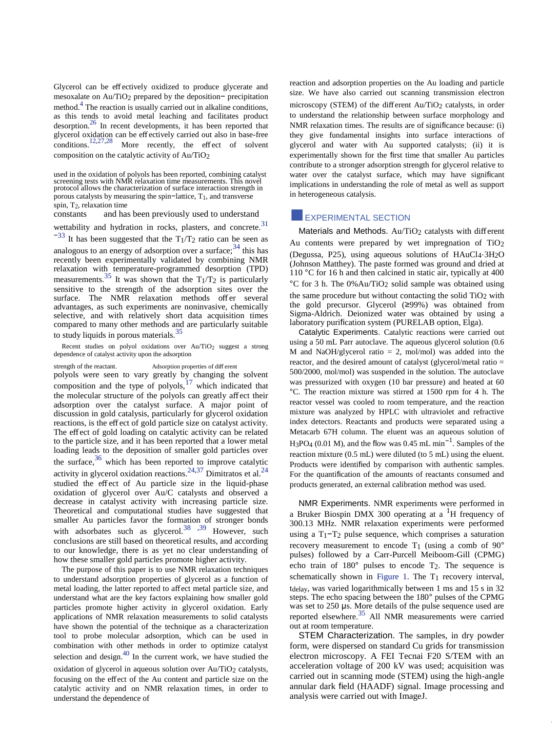Glycerol can be effectively oxidized to produce glycerate and mesoxalate on Au/TiO2 prepared by the deposition− precipitation method.<sup>4</sup> The reaction is usually carried out in alkaline conditions, as this tends to avoid metal leaching and facilitates product desorption.26 In recent developments, it has been reported that glycerol oxidation can be effectively carried out also in base-free<br>conditions.<sup>12,27,28</sup> More recently, the effect of solvent More recently, the effect of solvent composition on the catalytic activity of Au/TiO2

and has been previously used to understand

wettability and hydration in rocks, plasters, and concrete.<sup>31</sup>

 $-33$  It has been suggested that the T<sub>1</sub>/T<sub>2</sub> ratio can be seen as analogous to an energy of adsorption over a surface;  $34$  this has recently been experimentally validated by combining NMR relaxation with temperature-programmed desorption (TPD) measurements.<sup>35</sup> It was shown that the  $T_1/T_2$  is particularly sensitive to the strength of the adsorption sites over the surface. The NMR relaxation methods offer several advantages, as such experiments are noninvasive, chemically selective, and with relatively short data acquisition times compared to many other methods and are particularly suitable to study liquids in porous materials.<sup>35</sup>

Recent studies on polyol oxidations over Au/TiO<sub>2</sub> suggest a strong dependence of catalyst activity upon the adsorption

strength of the reactant. Adsorption properties of diff erent polyols were seen to vary greatly by changing the solvent composition and the type of polyols, $^{17}$  which indicated that the molecular structure of the polyols can greatly affect their adsorption over the catalyst surface. A major point of discussion in gold catalysis, particularly for glycerol oxidation reactions, is the effect of gold particle size on catalyst activity. The effect of gold loading on catalytic activity can be related to the particle size, and it has been reported that a lower metal loading leads to the deposition of smaller gold particles over the surface,  $36$  which has been reported to improve catalytic activity in glycerol oxidation reactions.<sup>24,37</sup> Dimitratos et al.<sup>24</sup> studied the effect of Au particle size in the liquid-phase oxidation of glycerol over Au/C catalysts and observed a decrease in catalyst activity with increasing particle size. Theoretical and computational studies have suggested that smaller Au particles favor the formation of stronger bonds with adsorbates such as glycerol.<sup>38, 39</sup> However, such conclusions are still based on theoretical results, and according to our knowledge, there is as yet no clear understanding of how these smaller gold particles promote higher activity.

The purpose of this paper is to use NMR relaxation techniques to understand adsorption properties of glycerol as a function of metal loading, the latter reported to affect metal particle size, and understand what are the key factors explaining how smaller gold particles promote higher activity in glycerol oxidation. Early applications of NMR relaxation measurements to solid catalysts have shown the potential of the technique as a characterization tool to probe molecular adsorption, which can be used in combination with other methods in order to optimize catalyst selection and design. $40$  In the current work, we have studied the oxidation of glycerol in aqueous solution over Au/TiO<sub>2</sub> catalysts, focusing on the effect of the Au content and particle size on the catalytic activity and on NMR relaxation times, in order to understand the dependence of

reaction and adsorption properties on the Au loading and particle size. We have also carried out scanning transmission electron microscopy (STEM) of the different Au/TiO<sub>2</sub> catalysts, in order to understand the relationship between surface morphology and NMR relaxation times. The results are of significance because: (i) they give fundamental insights into surface interactions of glycerol and water with Au supported catalysts; (ii) it is experimentally shown for the first time that smaller Au particles contribute to a stronger adsorption strength for glycerol relative to water over the catalyst surface, which may have significant implications in understanding the role of metal as well as support in heterogeneous catalysis.

## **EXPERIMENTAL SECTION**

Materials and Methods. Au/TiO<sub>2</sub> catalysts with different Au contents were prepared by wet impregnation of TiO2 (Degussa, P25), using aqueous solutions of HAuCl4·3H2O (Johnson Matthey). The paste formed was ground and dried at 110 °C for 16 h and then calcined in static air, typically at 400 °C for 3 h. The 0%Au/TiO2 solid sample was obtained using the same procedure but without contacting the solid  $TiO<sub>2</sub>$  with the gold precursor. Glycerol (≥99%) was obtained from Sigma-Aldrich. Deionized water was obtained by using a laboratory purification system (PURELAB option, Elga).

Catalytic Experiments. Catalytic reactions were carried out using a 50 mL Parr autoclave. The aqueous glycerol solution (0.6 M and NaOH/glycerol ratio = 2, mol/mol) was added into the reactor, and the desired amount of catalyst (glycerol/metal ratio = 500/2000, mol/mol) was suspended in the solution. The autoclave was pressurized with oxygen (10 bar pressure) and heated at 60 °C. The reaction mixture was stirred at 1500 rpm for 4 h. The reactor vessel was cooled to room temperature, and the reaction mixture was analyzed by HPLC with ultraviolet and refractive index detectors. Reactants and products were separated using a Metacarb 67H column. The eluent was an aqueous solution of H<sub>3</sub>PO<sub>4</sub> (0.01 M), and the flow was 0.45 mL min<sup>-1</sup>. Samples of the reaction mixture (0.5 mL) were diluted (to 5 mL) using the eluent. Products were identified by comparison with authentic samples. For the quantification of the amounts of reactants consumed and products generated, an external calibration method was used.

NMR Experiments. NMR experiments were performed in a Bruker Biospin DMX 300 operating at a <sup>1</sup>H frequency of 300.13 MHz. NMR relaxation experiments were performed using a  $T_1-T_2$  pulse sequence, which comprises a saturation recovery measurement to encode  $T_1$  (using a comb of  $90^\circ$ ) pulses) followed by a Carr-Purcell Meiboom-Gill (CPMG) echo train of 180° pulses to encode T2. The sequence is schematically shown in [Figure 1.](#page-6-0) The T1 recovery interval, tdelay, was varied logarithmically between 1 ms and 15 s in 32 steps. The echo spacing between the 180° pulses of the CPMG was set to 250 μs. More details of the pulse sequence used are reported elsewhere.35 All NMR measurements were carried out at room temperature.

STEM Characterization. The samples, in dry powder form, were dispersed on standard Cu grids for transmission electron microscopy. A FEI Tecnai F20 S/TEM with an acceleration voltage of 200 kV was used; acquisition was carried out in scanning mode (STEM) using the high-angle annular dark field (HAADF) signal. Image processing and analysis were carried out with ImageJ.

used in the oxidation of polyols has been reported, combining catalyst screening tests with NMR relaxation time measurements. This novel protocol allows the characterization of surface interaction strength in porous catalysts by measuring the spin−lattice, T1, and transverse spin, T<sub>2</sub>, relaxation time<br>constants and has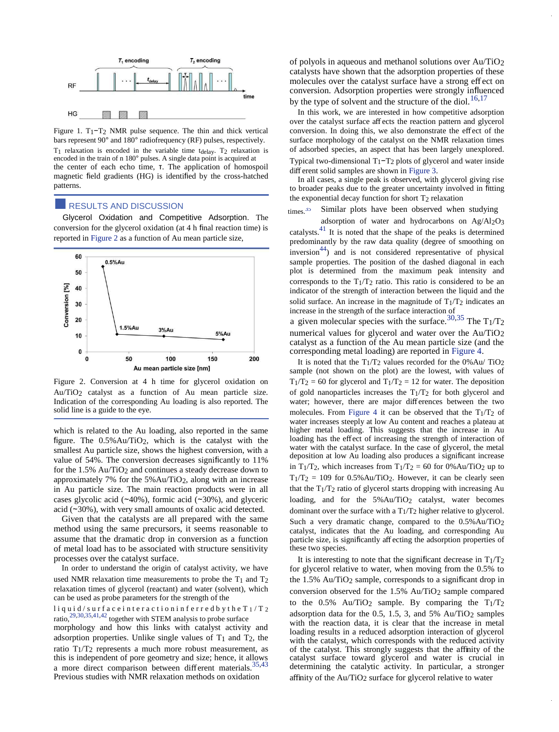

Figure 1. T1−T2 NMR pulse sequence. The thin and thick vertical bars represent 90° and 180° radiofrequency (RF) pulses, respectively.  $T_1$  relaxation is encoded in the variable time t<sub>delay</sub>. T<sub>2</sub> relaxation is encoded in the train of n 180° pulses. A single data point is acquired at the center of each echo time, τ. The application of homospoil magnetic field gradients (HG) is identified by the cross-hatched patterns.

## **RESULTS AND DISCUSSION**

Glycerol Oxidation and Competitive Adsorption. The conversion for the glycerol oxidation (at 4 h final reaction time) is reported i[n Figure 2 a](#page-6-0)s a function of Au mean particle size,



Figure 2. Conversion at 4 h time for glycerol oxidation on Au/TiO2 catalyst as a function of Au mean particle size. Indication of the corresponding Au loading is also reported. The solid line is a guide to the eye.

which is related to the Au loading, also reported in the same figure. The 0.5%Au/TiO2, which is the catalyst with the smallest Au particle size, shows the highest conversion, with a value of 54%. The conversion decreases significantly to 11% for the 1.5% Au/TiO2 and continues a steady decrease down to approximately 7% for the  $5\%$  Au/TiO<sub>2</sub>, along with an increase in Au particle size. The main reaction products were in all cases glycolic acid (∼40%), formic acid (∼30%), and glyceric acid (∼30%), with very small amounts of oxalic acid detected.

Given that the catalysts are all prepared with the same method using the same precursors, it seems reasonable to assume that the dramatic drop in conversion as a function of metal load has to be associated with structure sensitivity processes over the catalyst surface.

In order to understand the origin of catalyst activity, we have used NMR relaxation time measurements to probe the  $T_1$  and  $T_2$ relaxation times of glycerol (reactant) and water (solvent), which can be used as probe parameters for the strength of the liquid/surfaceinteractioninferred by the T<sub>1</sub>/T<sub>2</sub> ratio,29,30,35,41,42 together with STEM analysis to probe surface

morphology and how this links with catalyst activity and adsorption properties. Unlike single values of  $T_1$  and  $T_2$ , the ratio T1/T2 represents a much more robust measurement, as this is independent of pore geometry and size; hence, it allows a more direct comparison between different materials.<sup>35,43</sup> Previous studies with NMR relaxation methods on oxidation

of polyols in aqueous and methanol solutions over Au/TiO2 catalysts have shown that the adsorption properties of these molecules over the catalyst surface have a strong effect on conversion. Adsorption properties were strongly influenced by the type of solvent and the structure of the diol.<sup>16,17</sup>

In this work, we are interested in how competitive adsorption over the catalyst surface aff ects the reaction pattern and glycerol conversion. In doing this, we also demonstrate the effect of the surface morphology of the catalyst on the NMR relaxation times of adsorbed species, an aspect that has been largely unexplored. Typical two-dimensional T1−T2 plots of glycerol and water inside different solid samples are shown in [Figure 3.](#page-6-0) 

In all cases, a single peak is observed, with glycerol giving rise to broader peaks due to the greater uncertainty involved in fitting the exponential decay function for short T2 relaxation

#### Similar plots have been observed when studying times $35$

adsorption of water and hydrocarbons on Ag/Al2O3 catalysts.<sup>41</sup> It is noted that the shape of the peaks is determined predominantly by the raw data quality (degree of smoothing on  $inversion<sup>44</sup>$  and is not considered representative of physical sample properties. The position of the dashed diagonal in each plot is determined from the maximum peak intensity and corresponds to the  $T_1/T_2$  ratio. This ratio is considered to be an indicator of the strength of interaction between the liquid and the solid surface. An increase in the magnitude of  $T_1/T_2$  indicates an increase in the strength of the surface interaction of

a given molecular species with the surface.<sup>30,35</sup> The  $T_1/T_2$ numerical values for glycerol and water over the Au/TiO2 catalyst as a function of the Au mean particle size (and the corresponding metal loading) are reported in [Figure 4.](#page-6-0)

It is noted that the  $T_1/T_2$  values recorded for the 0%Au/  $TiO_2$ sample (not shown on the plot) are the lowest, with values of  $T_1/T_2 = 60$  for glycerol and  $T_1/T_2 = 12$  for water. The deposition of gold nanoparticles increases the  $T_1/T_2$  for both glycerol and water; however, there are major differences between the two molecules. From [Figure 4 i](#page-6-0)t can be observed that the  $T_1/T_2$  of water increases steeply at low Au content and reaches a plateau at higher metal loading. This suggests that the increase in Au loading has the effect of increasing the strength of interaction of water with the catalyst surface. In the case of glycerol, the metal deposition at low Au loading also produces a significant increase in T<sub>1</sub>/T<sub>2</sub>, which increases from T<sub>1</sub>/T<sub>2</sub> = 60 for 0%Au/T<sub>i</sub>O<sub>2</sub> up to  $T_1/T_2 = 109$  for 0.5%Au/TiO<sub>2</sub>. However, it can be clearly seen that the  $T_1/T_2$  ratio of glycerol starts dropping with increasing Au loading, and for the 5%Au/TiO<sub>2</sub> catalyst, water becomes dominant over the surface with a  $T_1/T_2$  higher relative to glycerol. Such a very dramatic change, compared to the 0.5%Au/TiO2 catalyst, indicates that the Au loading, and corresponding Au particle size, is significantly aff ecting the adsorption properties of these two species.

It is interesting to note that the significant decrease in  $T_1/T_2$ for glycerol relative to water, when moving from the 0.5% to the 1.5% Au/TiO2 sample, corresponds to a significant drop in conversion observed for the 1.5% Au/TiO2 sample compared to the  $0.5\%$  Au/TiO<sub>2</sub> sample. By comparing the T<sub>1</sub>/T<sub>2</sub> adsorption data for the  $0.5$ , 1.5, 3, and 5% Au/TiO<sub>2</sub> samples with the reaction data, it is clear that the increase in metal loading results in a reduced adsorption interaction of glycerol with the catalyst, which corresponds with the reduced activity of the catalyst. This strongly suggests that the affinity of the catalyst surface toward glycerol and water is crucial in determining the catalytic activity. In particular, a stronger affinity of the Au/TiO2 surface for glycerol relative to water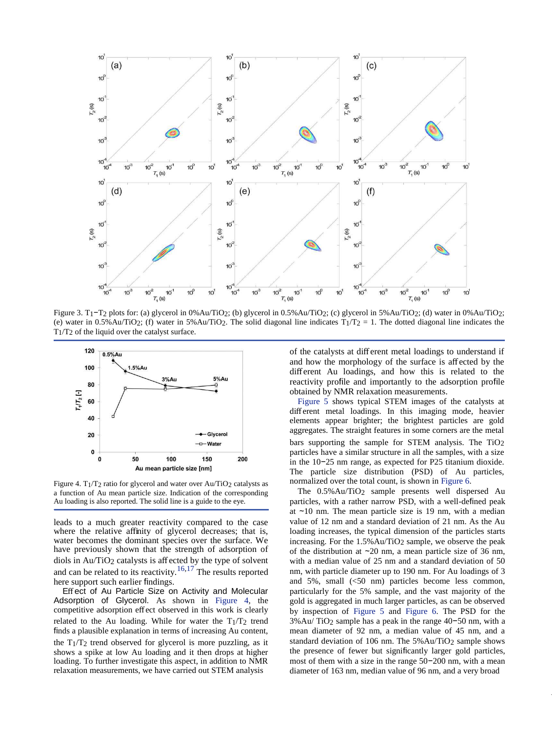

Figure 3. T1−T2 plots for: (a) glycerol in 0%Au/TiO2; (b) glycerol in 0.5%Au/TiO2; (c) glycerol in 5%Au/TiO2; (d) water in 0%Au/TiO2; (e) water in 0.5%Au/TiO2; (f) water in 5%Au/TiO2. The solid diagonal line indicates  $T_1/T_2 = 1$ . The dotted diagonal line indicates the  $T_1/T_2$  of the liquid over the catalyst surface.



Figure 4. T1/T2 ratio for glycerol and water over Au/TiO2 catalysts as a function of Au mean particle size. Indication of the corresponding Au loading is also reported. The solid line is a guide to the eye.

leads to a much greater reactivity compared to the case where the relative affinity of glycerol decreases; that is, water becomes the dominant species over the surface. We have previously shown that the strength of adsorption of diols in  $Au/TiO<sub>2</sub>$  catalysts is affected by the type of solvent and can be related to its reactivity.<sup>16,17</sup> The results reported here support such earlier findings.

Effect of Au Particle Size on Activity and Molecular Adsorption of Glycerol. As shown in [Figure 4,](#page-6-0) the competitive adsorption effect observed in this work is clearly related to the Au loading. While for water the  $T_1/T_2$  trend finds a plausible explanation in terms of increasing Au content, the  $T_1/T_2$  trend observed for glycerol is more puzzling, as it shows a spike at low Au loading and it then drops at higher loading. To further investigate this aspect, in addition to NMR relaxation measurements, we have carried out STEM analysis

of the catalysts at different metal loadings to understand if and how the morphology of the surface is affected by the different Au loadings, and how this is related to the reactivity profile and importantly to the adsorption profile obtained by NMR relaxation measurements.

[Figure 5 s](#page-6-0)hows typical STEM images of the catalysts at different metal loadings. In this imaging mode, heavier elements appear brighter; the brightest particles are gold aggregates. The straight features in some corners are the metal bars supporting the sample for STEM analysis. The TiO2 particles have a similar structure in all the samples, with a size in the 10−25 nm range, as expected for P25 titanium dioxide. The particle size distribution (PSD) of Au particles, normalized over the total count, is shown in [Figure 6.](#page-6-0)

The 0.5%Au/TiO2 sample presents well dispersed Au particles, with a rather narrow PSD, with a well-defined peak at ∼10 nm. The mean particle size is 19 nm, with a median value of 12 nm and a standard deviation of 21 nm. As the Au loading increases, the typical dimension of the particles starts increasing. For the 1.5%Au/TiO2 sample, we observe the peak of the distribution at ∼20 nm, a mean particle size of 36 nm, with a median value of 25 nm and a standard deviation of 50 nm, with particle diameter up to 190 nm. For Au loadings of 3 and 5%, small (<50 nm) particles become less common, particularly for the 5% sample, and the vast majority of the gold is aggregated in much larger particles, as can be observed by inspection of [Figure 5 a](#page-6-0)nd [Figure 6.](#page-6-0) The PSD for the 3%Au/ TiO2 sample has a peak in the range 40−50 nm, with a mean diameter of 92 nm, a median value of 45 nm, and a standard deviation of 106 nm. The 5%Au/TiO<sub>2</sub> sample shows the presence of fewer but significantly larger gold particles, most of them with a size in the range 50−200 nm, with a mean diameter of 163 nm, median value of 96 nm, and a very broad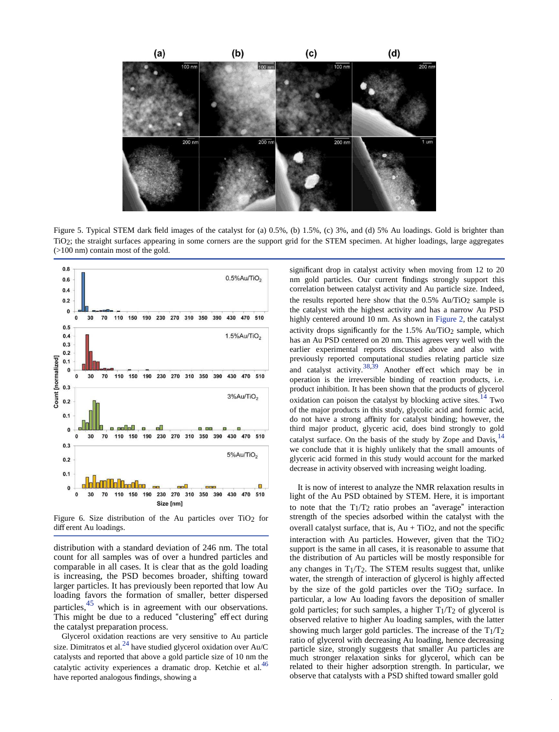

Figure 5. Typical STEM dark field images of the catalyst for (a) 0.5%, (b) 1.5%, (c) 3%, and (d) 5% Au loadings. Gold is brighter than TiO2; the straight surfaces appearing in some corners are the support grid for the STEM specimen. At higher loadings, large aggregates (>100 nm) contain most of the gold.



Figure 6. Size distribution of the Au particles over  $TiO<sub>2</sub>$  for different Au loadings.

distribution with a standard deviation of 246 nm. The total count for all samples was of over a hundred particles and comparable in all cases. It is clear that as the gold loading is increasing, the PSD becomes broader, shifting toward larger particles. It has previously been reported that low Au loading favors the formation of smaller, better dispersed particles,45 which is in agreement with our observations. This might be due to a reduced "clustering" effect during the catalyst preparation process.

Glycerol oxidation reactions are very sensitive to Au particle size. Dimitratos et al. $^{24}$  have studied glycerol oxidation over Au/C catalysts and reported that above a gold particle size of 10 nm the catalytic activity experiences a dramatic drop. Ketchie et al.<sup>46</sup> have reported analogous findings, showing a

significant drop in catalyst activity when moving from 12 to 20 nm gold particles. Our current findings strongly support this correlation between catalyst activity and Au particle size. Indeed, the results reported here show that the  $0.5\%$  Au/TiO<sub>2</sub> sample is the catalyst with the highest activity and has a narrow Au PSD highly centered around 10 nm. As shown in [Figure 2,](#page-6-0) the catalyst activity drops significantly for the 1.5% Au/TiO<sub>2</sub> sample, which has an Au PSD centered on 20 nm. This agrees very well with the earlier experimental reports discussed above and also with previously reported computational studies relating particle size and catalyst activity.<sup>38,39</sup> Another effect which may be in operation is the irreversible binding of reaction products, i.e. product inhibition. It has been shown that the products of glycerol oxidation can poison the catalyst by blocking active sites.<sup>14</sup> Two of the major products in this study, glycolic acid and formic acid, do not have a strong affinity for catalyst binding; however, the third major product, glyceric acid, does bind strongly to gold catalyst surface. On the basis of the study by Zope and Davis, <sup>14</sup> we conclude that it is highly unlikely that the small amounts of glyceric acid formed in this study would account for the marked decrease in activity observed with increasing weight loading.

It is now of interest to analyze the NMR relaxation results in light of the Au PSD obtained by STEM. Here, it is important to note that the  $T_1/T_2$  ratio probes an "average" interaction strength of the species adsorbed within the catalyst with the overall catalyst surface, that is,  $Au + TiO<sub>2</sub>$ , and not the specific interaction with Au particles. However, given that the  $TiO<sub>2</sub>$ support is the same in all cases, it is reasonable to assume that the distribution of Au particles will be mostly responsible for any changes in  $T_1/T_2$ . The STEM results suggest that, unlike water, the strength of interaction of glycerol is highly affected by the size of the gold particles over the TiO2 surface. In particular, a low Au loading favors the deposition of smaller gold particles; for such samples, a higher  $T_1/T_2$  of glycerol is observed relative to higher Au loading samples, with the latter showing much larger gold particles. The increase of the T1/T2 ratio of glycerol with decreasing Au loading, hence decreasing particle size, strongly suggests that smaller Au particles are much stronger relaxation sinks for glycerol, which can be related to their higher adsorption strength. In particular, we observe that catalysts with a PSD shifted toward smaller gold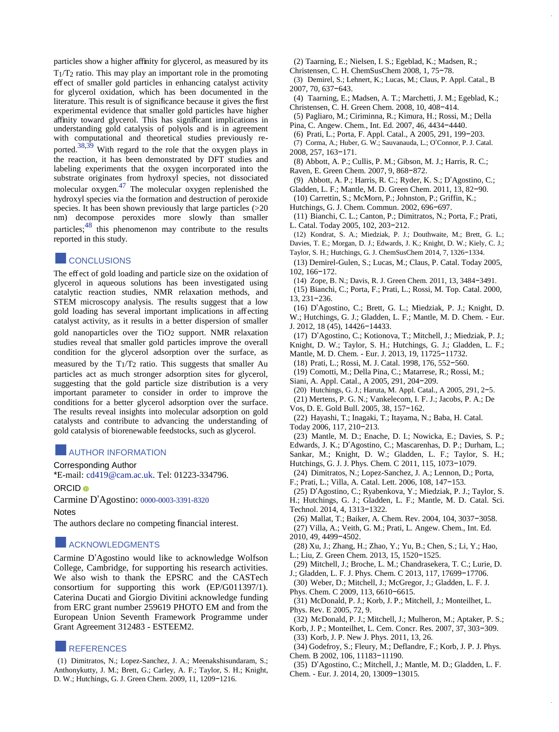<span id="page-6-0"></span>particles show a higher affinity for glycerol, as measured by its  $T_1/T_2$  ratio. This may play an important role in the promoting effect of smaller gold particles in enhancing catalyst activity for glycerol oxidation, which has been documented in the literature. This result is of significance because it gives the first experimental evidence that smaller gold particles have higher affinity toward glycerol. This has significant implications in understanding gold catalysis of polyols and is in agreement with computational and theoretical studies previously reported.38,39 With regard to the role that the oxygen plays in the reaction, it has been demonstrated by DFT studies and labeling experiments that the oxygen incorporated into the substrate originates from hydroxyl species, not dissociated molecular oxygen.47 The molecular oxygen replenished the hydroxyl species via the formation and destruction of peroxide species. It has been shown previously that large particles (>20 nm) decompose peroxides more slowly than smaller particles;<sup>48</sup> this phenomenon may contribute to the results reported in this study.

## **CONCLUSIONS**

The effect of gold loading and particle size on the oxidation of glycerol in aqueous solutions has been investigated using catalytic reaction studies, NMR relaxation methods, and STEM microscopy analysis. The results suggest that a low gold loading has several important implications in affecting catalyst activity, as it results in a better dispersion of smaller gold nanoparticles over the TiO2 support. NMR relaxation studies reveal that smaller gold particles improve the overall condition for the glycerol adsorption over the surface, as measured by the  $T_1/T_2$  ratio. This suggests that smaller Au particles act as much stronger adsorption sites for glycerol, suggesting that the gold particle size distribution is a very important parameter to consider in order to improve the conditions for a better glycerol adsorption over the surface. The results reveal insights into molecular adsorption on gold catalysts and contribute to advancing the understanding of gold catalysis of biorenewable feedstocks, such as glycerol.

## ■AUTHOR INFORMATION

Corresponding Author

\*E-mail: [cd419@cam.ac.uk.](mailto:cd419@cam.ac.uk) Tel: 01223-334796.

ORCID<sup>®</sup>

Carmine D'Agostino: [0000-0003-3391-8320](http://orcid.org/0000-0003-3391-8320) 

**Notes** 

The authors declare no competing financial interest.

## **ACKNOWLEDGMENTS**

Carmine D'Agostino would like to acknowledge Wolfson College, Cambridge, for supporting his research activities. We also wish to thank the EPSRC and the CASTech consortium for supporting this work (EP/G011397/1). Caterina Ducati and Giorgio Divitini acknowledge funding from ERC grant number 259619 PHOTO EM and from the European Union Seventh Framework Programme under Grant Agreement 312483 - ESTEEM2.

## ■REFERENCES

(1) Dimitratos, N.; Lopez-Sanchez, J. A.; Meenakshisundaram, S.; Anthonykutty, J. M.; Brett, G.; Carley, A. F.; Taylor, S. H.; Knight, D. W.; Hutchings, G. J. Green Chem. 2009, 11, 1209−1216.

(2) Taarning, E.; Nielsen, I. S.; Egeblad, K.; Madsen, R.;

- Christensen, C. H. ChemSusChem 2008, 1, 75−78.
- (3) Demirel, S.; Lehnert, K.; Lucas, M.; Claus, P. Appl. Catal., B 2007, 70, 637−643.
- (4) Taarning, E.; Madsen, A. T.; Marchetti, J. M.; Egeblad, K.; Christensen, C. H. Green Chem. 2008, 10, 408−414.
- (5) Pagliaro, M.; Ciriminna, R.; Kimura, H.; Rossi, M.; Della Pina, C. Angew. Chem., Int. Ed. 2007, 46, 4434−4440.
- (6) Prati, L.; Porta, F. Appl. Catal., A 2005, 291, 199−203.
- (7) Corma, A.; Huber, G. W.; Sauvanauda, L.; O'Connor, P. J. Catal. 2008, 257, 163−171.
- (8) Abbott, A. P.; Cullis, P. M.; Gibson, M. J.; Harris, R. C.; Raven, E. Green Chem. 2007, 9, 868−872.
- (9) Abbott, A. P.; Harris, R. C.; Ryder, K. S.; D'Agostino, C.;
- Gladden, L. F.; Mantle, M. D. Green Chem. 2011, 13, 82−90.
- (10) Carrettin, S.; McMorn, P.; Johnston, P.; Griffin, K.;
- Hutchings, G. J. Chem. Commun. 2002, 696−697.

(11) Bianchi, C. L.; Canton, P.; Dimitratos, N.; Porta, F.; Prati, L. Catal. Today 2005, 102, 203−212.

- (12) Kondrat, S. A.; Miedziak, P. J.; Douthwaite, M.; Brett, G. L.; Davies, T. E.; Morgan, D. J.; Edwards, J. K.; Knight, D. W.; Kiely, C. J.; Taylor, S. H.; Hutchings, G. J. ChemSusChem 2014, 7, 1326−1334.
- (13) Demirel-Gulen, S.; Lucas, M.; Claus, P. Catal. Today 2005, 102, 166−172.
- (14) Zope, B. N.; Davis, R. J. Green Chem. 2011, 13, 3484−3491.
- (15) Bianchi, C.; Porta, F.; Prati, L.; Rossi, M. Top. Catal. 2000, 13, 231−236.
- (16) D'Agostino, C.; Brett, G. L.; Miedziak, P. J.; Knight, D. W.; Hutchings, G. J.; Gladden, L. F.; Mantle, M. D. Chem. - Eur. J. 2012, 18 (45), 14426−14433.
- (17) D'Agostino, C.; Kotionova, T.; Mitchell, J.; Miedziak, P. J.; Knight, D. W.; Taylor, S. H.; Hutchings, G. J.; Gladden, L. F.; Mantle, M. D. Chem. - Eur. J. 2013, 19, 11725−11732.
- (18) Prati, L.; Rossi, M. J. Catal. 1998, 176, 552−560.
- (19) Comotti, M.; Della Pina, C.; Matarrese, R.; Rossi, M.; Siani, A. Appl. Catal., A 2005, 291, 204−209.
- (20) Hutchings, G. J.; Haruta, M. Appl. Catal., A 2005, 291, 2−5.
- (21) Mertens, P. G. N.; Vankelecom, I. F. J.; Jacobs, P. A.; De
- Vos, D. E. Gold Bull. 2005, 38, 157−162.
- (22) Hayashi, T.; Inagaki, T.; Itayama, N.; Baba, H. Catal. Today 2006, 117, 210−213.
- (23) Mantle, M. D.; Enache, D. I.; Nowicka, E.; Davies, S. P.;
- Edwards, J. K.; D'Agostino, C.; Mascarenhas, D. P.; Durham, L.;
- Sankar, M.; Knight, D. W.; Gladden, L. F.; Taylor, S. H.;
- Hutchings, G. J. J. Phys. Chem. C 2011, 115, 1073−1079.
- (24) Dimitratos, N.; Lopez-Sanchez, J. A.; Lennon, D.; Porta,
- F.; Prati, L.; Villa, A. Catal. Lett. 2006, 108, 147−153.
- (25) D'Agostino, C.; Ryabenkova, Y.; Miedziak, P. J.; Taylor, S. H.; Hutchings, G. J.; Gladden, L. F.; Mantle, M. D. Catal. Sci. Technol. 2014, 4, 1313−1322.
- (26) Mallat, T.; Baiker, A. Chem. Rev. 2004, 104, 3037−3058. (27) Villa, A.; Veith, G. M.; Prati, L. Angew. Chem., Int. Ed. 2010, 49, 4499−4502.
- (28) Xu, J.; Zhang, H.; Zhao, Y.; Yu, B.; Chen, S.; Li, Y.; Hao, L.; Liu, Z. Green Chem. 2013, 15, 1520−1525.
- (29) Mitchell, J.; Broche, L. M.; Chandrasekera, T. C.; Lurie, D. J.; Gladden, L. F. J. Phys. Chem. C 2013, 117, 17699−17706.
- (30) Weber, D.; Mitchell, J.; McGregor, J.; Gladden, L. F. J.
- Phys. Chem. C 2009, 113, 6610−6615.
- (31) McDonald, P. J.; Korb, J. P.; Mitchell, J.; Monteilhet, L. Phys. Rev. E 2005, 72, 9.
- (32) McDonald, P. J.; Mitchell, J.; Mulheron, M.; Aptaker, P. S.;
- Korb, J. P.; Monteilhet, L. Cem. Concr. Res. 2007, 37, 303−309.
- (33) Korb, J. P. New J. Phys. 2011, 13, 26.
- (34) Godefroy, S.; Fleury, M.; Deflandre, F.; Korb, J. P. J. Phys. Chem. B 2002, 106, 11183−11190.
- (35) D'Agostino, C.; Mitchell, J.; Mantle, M. D.; Gladden, L. F. Chem. - Eur. J. 2014, 20, 13009−13015.